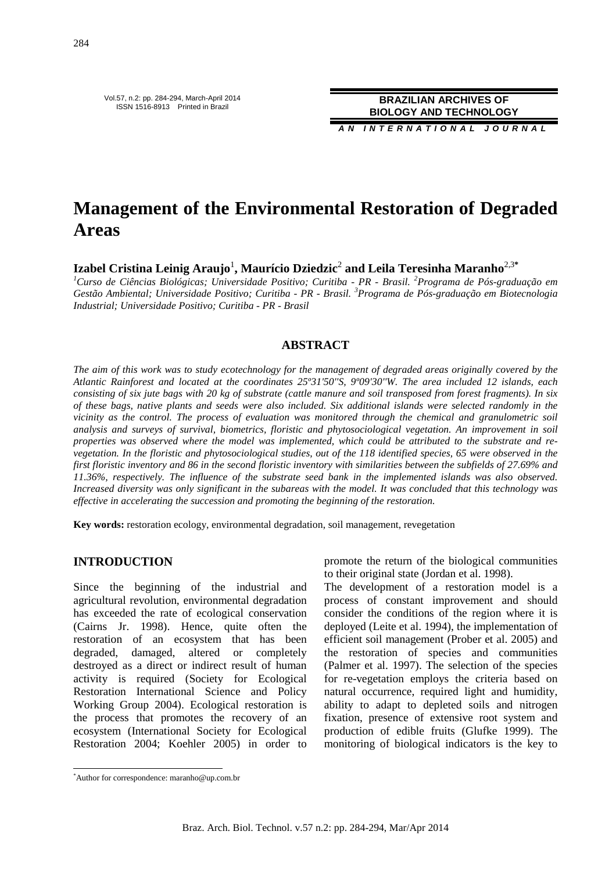Vol.57, n.2: pp. 284-294, March-April 2014 ISSN 1516-8913 Printed in Brazil

**BRAZILIAN ARCHIVES OF BIOLOGY AND TECHNOLOGY**

**A N I N T E R N A T I O N A L J O U R N A L**

# **Management of the Environmental Restoration of Degraded Areas**

 $\bold{Iz}$ abel Cristina Leinig Araujo $^1$ , Maurício Dziedzic $^2$  and Leila Teresinha Maranho $^{2,3*}$ 

*<sup>1</sup>Curso de Ciências Biológicas; Universidade Positivo; Curitiba - PR - Brasil. <sup>2</sup>Programa de Pós-graduação em Gestão Ambiental; Universidade Positivo; Curitiba - PR - Brasil. <sup>3</sup>Programa de Pós-graduação em Biotecnologia Industrial; Universidade Positivo; Curitiba - PR - Brasil* 

#### **ABSTRACT**

*The aim of this work was to study ecotechnology for the management of degraded areas originally covered by the Atlantic Rainforest and located at the coordinates 25º31'50''S, 9º09'30''W. The area included 12 islands, each consisting of six jute bags with 20 kg of substrate (cattle manure and soil transposed from forest fragments). In six of these bags, native plants and seeds were also included. Six additional islands were selected randomly in the vicinity as the control. The process of evaluation was monitored through the chemical and granulometric soil analysis and surveys of survival, biometrics, floristic and phytosociological vegetation. An improvement in soil properties was observed where the model was implemented, which could be attributed to the substrate and revegetation. In the floristic and phytosociological studies, out of the 118 identified species, 65 were observed in the first floristic inventory and 86 in the second floristic inventory with similarities between the subfields of 27.69% and 11.36%, respectively. The influence of the substrate seed bank in the implemented islands was also observed. Increased diversity was only significant in the subareas with the model. It was concluded that this technology was effective in accelerating the succession and promoting the beginning of the restoration.* 

**Key words:** restoration ecology, environmental degradation, soil management, revegetation

### **INTRODUCTION**

Since the beginning of the industrial and agricultural revolution, environmental degradation has exceeded the rate of ecological conservation (Cairns Jr. 1998). Hence, quite often the restoration of an ecosystem that has been degraded, damaged, altered or completely destroyed as a direct or indirect result of human activity is required (Society for Ecological Restoration International Science and Policy Working Group 2004). Ecological restoration is the process that promotes the recovery of an ecosystem (International Society for Ecological Restoration 2004; Koehler 2005) in order to

promote the return of the biological communities to their original state (Jordan et al. 1998).

The development of a restoration model is a process of constant improvement and should consider the conditions of the region where it is deployed (Leite et al. 1994), the implementation of efficient soil management (Prober et al. 2005) and the restoration of species and communities (Palmer et al. 1997). The selection of the species for re-vegetation employs the criteria based on natural occurrence, required light and humidity, ability to adapt to depleted soils and nitrogen fixation, presence of extensive root system and production of edible fruits (Glufke 1999). The monitoring of biological indicators is the key to

 $\overline{a}$ 

<sup>\*</sup>Author for correspondence: maranho@up.com.br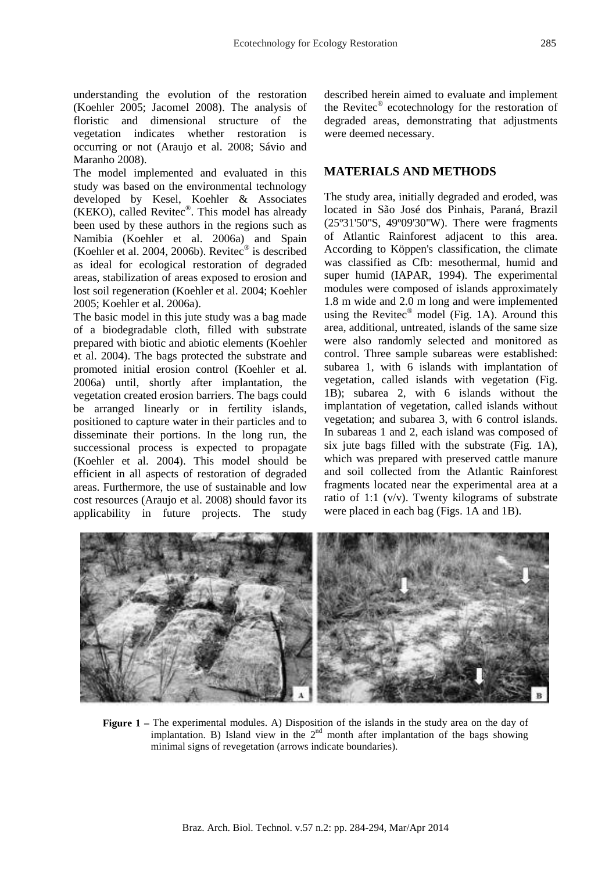understanding the evolution of the restoration (Koehler 2005; Jacomel 2008). The analysis of floristic and dimensional structure of the vegetation indicates whether restoration is occurring or not (Araujo et al. 2008; Sávio and Maranho 2008).

The model implemented and evaluated in this study was based on the environmental technology developed by Kesel, Koehler & Associates (KEKO), called Revitec® . This model has already been used by these authors in the regions such as Namibia (Koehler et al. 2006a) and Spain (Koehler et al. 2004, 2006b). Revitec® is described as ideal for ecological restoration of degraded areas, stabilization of areas exposed to erosion and lost soil regeneration (Koehler et al. 2004; Koehler 2005; Koehler et al. 2006a).

The basic model in this jute study was a bag made of a biodegradable cloth, filled with substrate prepared with biotic and abiotic elements (Koehler et al. 2004). The bags protected the substrate and promoted initial erosion control (Koehler et al. 2006a) until, shortly after implantation, the vegetation created erosion barriers. The bags could be arranged linearly or in fertility islands, positioned to capture water in their particles and to disseminate their portions. In the long run, the successional process is expected to propagate (Koehler et al. 2004). This model should be efficient in all aspects of restoration of degraded areas. Furthermore, the use of sustainable and low cost resources (Araujo et al. 2008) should favor its applicability in future projects. The study

described herein aimed to evaluate and implement the Revitec® ecotechnology for the restoration of degraded areas, demonstrating that adjustments were deemed necessary.

#### **MATERIALS AND METHODS**

The study area, initially degraded and eroded, was located in São José dos Pinhais, Paraná, Brazil (25º31'50''S, 49º09'30''W). There were fragments of Atlantic Rainforest adjacent to this area. According to Köppen's classification, the climate was classified as Cfb: mesothermal, humid and super humid (IAPAR, 1994). The experimental modules were composed of islands approximately 1.8 m wide and 2.0 m long and were implemented using the Revitec<sup>®</sup> model (Fig. 1A). Around this area, additional, untreated, islands of the same size were also randomly selected and monitored as control. Three sample subareas were established: subarea 1, with 6 islands with implantation of vegetation, called islands with vegetation (Fig. 1B); subarea 2, with 6 islands without the implantation of vegetation, called islands without vegetation; and subarea 3, with 6 control islands. In subareas 1 and 2, each island was composed of six jute bags filled with the substrate (Fig. 1A), which was prepared with preserved cattle manure and soil collected from the Atlantic Rainforest fragments located near the experimental area at a ratio of 1:1  $(v/v)$ . Twenty kilograms of substrate were placed in each bag (Figs. 1A and 1B).



**Figure 1 –** The experimental modules. A) Disposition of the islands in the study area on the day of implantation. B) Island view in the  $2<sup>nd</sup>$  month after implantation of the bags showing minimal signs of revegetation (arrows indicate boundaries).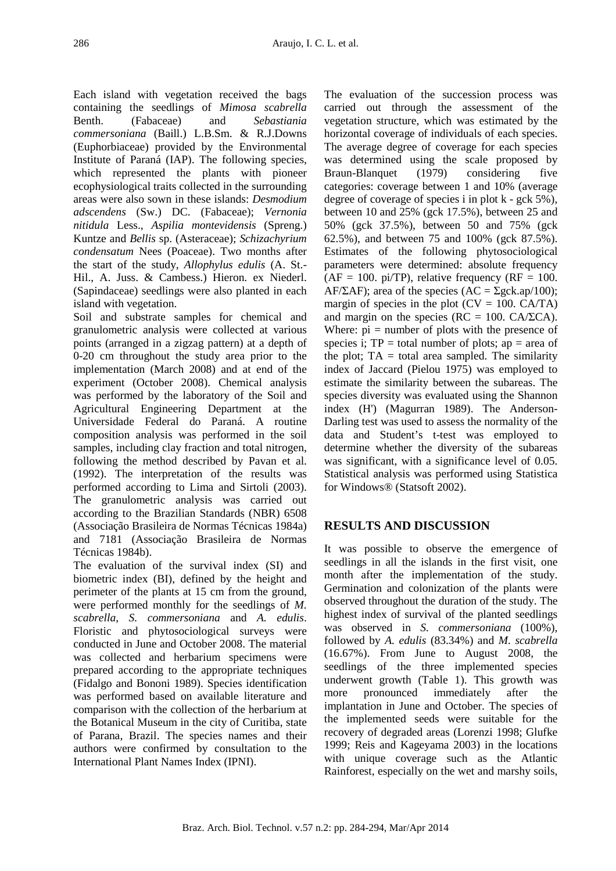Each island with vegetation received the bags containing the seedlings of *Mimosa scabrella* Benth. (Fabaceae) and *Sebastiania commersoniana* (Baill.) L.B.Sm. & R.J.Downs (Euphorbiaceae) provided by the Environmental Institute of Paraná (IAP). The following species, which represented the plants with pioneer ecophysiological traits collected in the surrounding areas were also sown in these islands: *Desmodium adscendens* (Sw.) DC. (Fabaceae); *Vernonia nitidula* Less., *Aspilia montevidensis* (Spreng.) Kuntze and *Bellis* sp. (Asteraceae); *Schizachyrium condensatum* Nees (Poaceae). Two months after the start of the study, *Allophylus edulis* (A. St.- Hil., A. Juss. & Cambess.) Hieron. ex Niederl. (Sapindaceae) seedlings were also planted in each island with vegetation.

Soil and substrate samples for chemical and granulometric analysis were collected at various points (arranged in a zigzag pattern) at a depth of 0-20 cm throughout the study area prior to the implementation (March 2008) and at end of the experiment (October 2008). Chemical analysis was performed by the laboratory of the Soil and Agricultural Engineering Department at the Universidade Federal do Paraná. A routine composition analysis was performed in the soil samples, including clay fraction and total nitrogen, following the method described by Pavan et al. (1992). The interpretation of the results was performed according to Lima and Sirtoli (2003). The granulometric analysis was carried out according to the Brazilian Standards (NBR) 6508 (Associação Brasileira de Normas Técnicas 1984a) and 7181 (Associação Brasileira de Normas Técnicas 1984b).

The evaluation of the survival index (SI) and biometric index (BI), defined by the height and perimeter of the plants at 15 cm from the ground, were performed monthly for the seedlings of *M. scabrella*, *S. commersoniana* and *A. edulis*. Floristic and phytosociological surveys were conducted in June and October 2008. The material was collected and herbarium specimens were prepared according to the appropriate techniques (Fidalgo and Bononi 1989). Species identification was performed based on available literature and comparison with the collection of the herbarium at the Botanical Museum in the city of Curitiba, state of Parana, Brazil. The species names and their authors were confirmed by consultation to the International Plant Names Index (IPNI).

The evaluation of the succession process was carried out through the assessment of the vegetation structure, which was estimated by the horizontal coverage of individuals of each species. The average degree of coverage for each species was determined using the scale proposed by Braun-Blanquet (1979) considering five categories: coverage between 1 and 10% (average degree of coverage of species i in plot k - gck 5%), between 10 and 25% (gck 17.5%), between 25 and 50% (gck 37.5%), between 50 and 75% (gck 62.5%), and between 75 and 100% (gck 87.5%). Estimates of the following phytosociological parameters were determined: absolute frequency  $(AF = 100. \text{pi/TP})$ , relative frequency  $(RF = 100.$ AF/ $\Sigma$ AF); area of the species (AC =  $\Sigma$ gck.ap/100); margin of species in the plot  $(CV = 100$ . CA/TA) and margin on the species ( $RC = 100$ .  $CA/\Sigma CA$ ). Where:  $pi =$  number of plots with the presence of species i;  $TP = total number of plots; ap = area of$ the plot;  $TA = total$  area sampled. The similarity index of Jaccard (Pielou 1975) was employed to estimate the similarity between the subareas. The species diversity was evaluated using the Shannon index (H') (Magurran 1989). The Anderson-Darling test was used to assess the normality of the data and Student's t-test was employed to determine whether the diversity of the subareas was significant, with a significance level of 0.05. Statistical analysis was performed using Statistica for Windows® (Statsoft 2002).

# **RESULTS AND DISCUSSION**

It was possible to observe the emergence of seedlings in all the islands in the first visit, one month after the implementation of the study. Germination and colonization of the plants were observed throughout the duration of the study. The highest index of survival of the planted seedlings was observed in *S. commersoniana* (100%), followed by *A. edulis* (83.34%) and *M. scabrella* (16.67%). From June to August 2008, the seedlings of the three implemented species underwent growth (Table 1). This growth was more pronounced immediately after the implantation in June and October. The species of the implemented seeds were suitable for the recovery of degraded areas (Lorenzi 1998; Glufke 1999; Reis and Kageyama 2003) in the locations with unique coverage such as the Atlantic Rainforest, especially on the wet and marshy soils,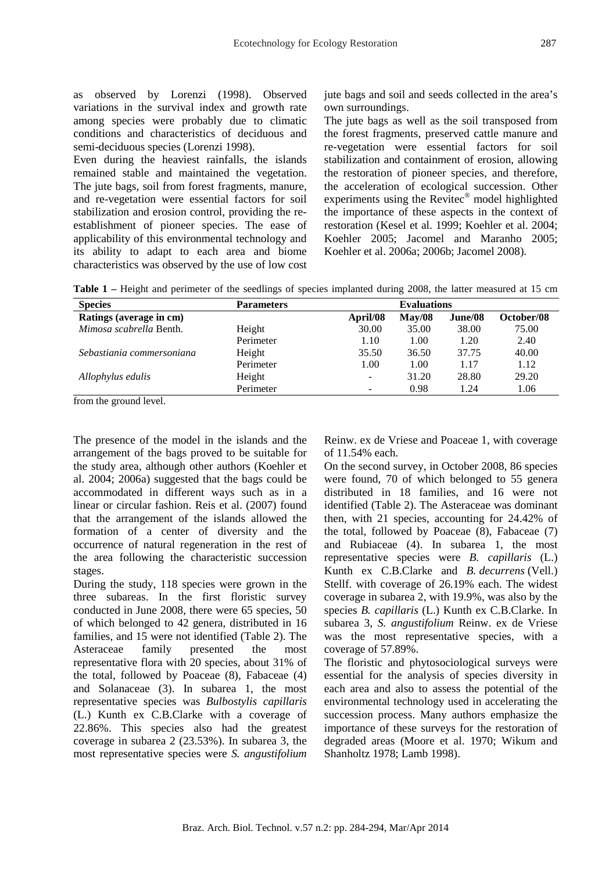as observed by Lorenzi (1998). Observed variations in the survival index and growth rate among species were probably due to climatic conditions and characteristics of deciduous and semi-deciduous species (Lorenzi 1998).

Even during the heaviest rainfalls, the islands remained stable and maintained the vegetation. The jute bags, soil from forest fragments, manure, and re-vegetation were essential factors for soil stabilization and erosion control, providing the reestablishment of pioneer species. The ease of applicability of this environmental technology and its ability to adapt to each area and biome characteristics was observed by the use of low cost jute bags and soil and seeds collected in the area's own surroundings.

The jute bags as well as the soil transposed from the forest fragments, preserved cattle manure and re-vegetation were essential factors for soil stabilization and containment of erosion, allowing the restoration of pioneer species, and therefore, the acceleration of ecological succession. Other experiments using the Revitec<sup>®</sup> model highlighted the importance of these aspects in the context of restoration (Kesel et al. 1999; Koehler et al. 2004; Koehler 2005; Jacomel and Maranho 2005; Koehler et al. 2006a; 2006b; Jacomel 2008).

**Table 1 –** Height and perimeter of the seedlings of species implanted during 2008, the latter measured at 15 cm

| <b>Species</b>            | <b>Parameters</b> | <b>Evaluations</b>       |        |         |            |  |  |  |  |  |
|---------------------------|-------------------|--------------------------|--------|---------|------------|--|--|--|--|--|
| Ratings (average in cm)   |                   | April/08                 | May/08 | June/08 | October/08 |  |  |  |  |  |
| Mimosa scabrella Benth.   | Height            | 30.00                    | 35.00  | 38.00   | 75.00      |  |  |  |  |  |
|                           | Perimeter         | 1.10                     | 1.00   | 1.20    | 2.40       |  |  |  |  |  |
| Sebastiania commersoniana | Height            | 35.50                    | 36.50  | 37.75   | 40.00      |  |  |  |  |  |
|                           | Perimeter         | 1.00                     | 1.00   | 1.17    | 1.12       |  |  |  |  |  |
| Allophylus edulis         | Height            | $\overline{\phantom{a}}$ | 31.20  | 28.80   | 29.20      |  |  |  |  |  |
|                           | Perimeter         | $\overline{\phantom{0}}$ | 0.98   | 1.24    | 1.06       |  |  |  |  |  |

from the ground level.

The presence of the model in the islands and the arrangement of the bags proved to be suitable for the study area, although other authors (Koehler et al. 2004; 2006a) suggested that the bags could be accommodated in different ways such as in a linear or circular fashion. Reis et al. (2007) found that the arrangement of the islands allowed the formation of a center of diversity and the occurrence of natural regeneration in the rest of the area following the characteristic succession stages.

During the study, 118 species were grown in the three subareas. In the first floristic survey conducted in June 2008, there were 65 species, 50 of which belonged to 42 genera, distributed in 16 families, and 15 were not identified (Table 2). The Asteraceae family presented the most representative flora with 20 species, about 31% of the total, followed by Poaceae (8), Fabaceae (4) and Solanaceae (3). In subarea 1, the most representative species was *Bulbostylis capillaris* (L.) Kunth ex C.B.Clarke with a coverage of 22.86%. This species also had the greatest coverage in subarea 2 (23.53%). In subarea 3, the most representative species were *S. angustifolium* Reinw. ex de Vriese and Poaceae 1, with coverage of 11.54% each.

On the second survey, in October 2008, 86 species were found, 70 of which belonged to 55 genera distributed in 18 families, and 16 were not identified (Table 2). The Asteraceae was dominant then, with 21 species, accounting for 24.42% of the total, followed by Poaceae (8), Fabaceae (7) and Rubiaceae (4). In subarea 1, the most representative species were *B. capillaris* (L.) Kunth ex C.B.Clarke and *B. decurrens* (Vell.) Stellf. with coverage of 26.19% each. The widest coverage in subarea 2, with 19.9%, was also by the species *B. capillaris* (L.) Kunth ex C.B.Clarke. In subarea 3, *S. angustifolium* Reinw. ex de Vriese was the most representative species, with a coverage of 57.89%.

The floristic and phytosociological surveys were essential for the analysis of species diversity in each area and also to assess the potential of the environmental technology used in accelerating the succession process. Many authors emphasize the importance of these surveys for the restoration of degraded areas (Moore et al. 1970; Wikum and Shanholtz 1978; Lamb 1998).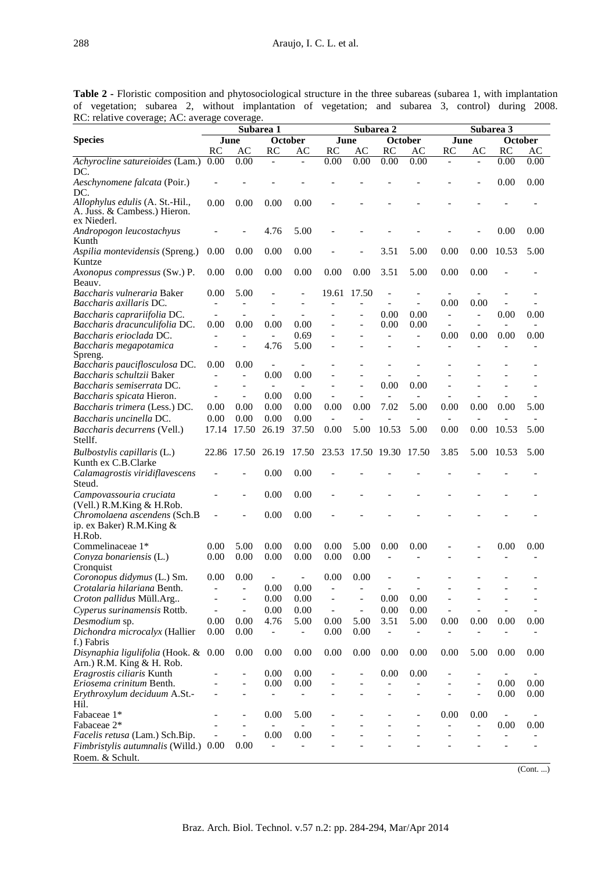**Table 2 -** Floristic composition and phytosociological structure in the three subareas (subarea 1, with implantation of vegetation; subarea 2, without implantation of vegetation; and subarea 3, control) during 2008. RC: relative coverage; AC: average coverage.

|                                       | Subarea 1                |                              |                                  |                       |                              | Subarea 2                    |                          |                          | Subarea 3                |                          |                          |      |
|---------------------------------------|--------------------------|------------------------------|----------------------------------|-----------------------|------------------------------|------------------------------|--------------------------|--------------------------|--------------------------|--------------------------|--------------------------|------|
| <b>Species</b>                        |                          | June                         |                                  | <b>October</b>        | June                         |                              | October                  |                          | October<br>June          |                          |                          |      |
|                                       | RC                       | AC                           | RC                               | AC                    | RC                           | AC                           | RC                       | AC                       | RC                       | AC                       | RC                       | AС   |
| Achyrocline satureioides (Lam.)       | 0.00                     | 0.00                         |                                  |                       | 0.00                         | 0.00                         | 0.00                     | 0.00                     |                          |                          | 0.00                     | 0.00 |
| DC.                                   |                          |                              |                                  |                       |                              |                              |                          |                          |                          |                          |                          |      |
| Aeschynomene falcata (Poir.)          |                          |                              |                                  |                       |                              |                              |                          |                          |                          |                          | 0.00                     | 0.00 |
| DC.                                   |                          |                              |                                  |                       |                              |                              |                          |                          |                          |                          |                          |      |
| Allophylus edulis (A. St.-Hil.,       | 0.00                     | 0.00                         | 0.00                             | 0.00                  |                              |                              |                          |                          |                          |                          |                          |      |
| A. Juss. & Cambess.) Hieron.          |                          |                              |                                  |                       |                              |                              |                          |                          |                          |                          |                          |      |
| ex Niederl.                           |                          |                              |                                  |                       |                              |                              |                          |                          |                          |                          |                          |      |
| Andropogon leucostachyus              |                          |                              | 4.76                             | 5.00                  |                              |                              |                          |                          |                          |                          | 0.00                     | 0.00 |
| Kunth                                 |                          |                              |                                  |                       |                              |                              |                          |                          |                          |                          |                          |      |
| Aspilia montevidensis (Spreng.)       | 0.00                     | 0.00                         | 0.00                             | 0.00                  |                              |                              | 3.51                     | 5.00                     | 0.00                     | 0.00                     | 10.53                    | 5.00 |
| Kuntze                                |                          |                              |                                  |                       |                              |                              |                          |                          |                          |                          |                          |      |
| Axonopus compressus (Sw.) P.          | 0.00                     | 0.00                         | 0.00                             | 0.00                  | 0.00                         | 0.00                         | 3.51                     | 5.00                     | 0.00                     | 0.00                     |                          |      |
| Beauv.                                |                          |                              |                                  |                       |                              |                              |                          |                          |                          |                          |                          |      |
| Baccharis vulneraria Baker            | 0.00                     | 5.00                         |                                  |                       | 19.61                        | 17.50                        | $\overline{a}$           | Ē,                       |                          |                          |                          |      |
| Baccharis axillaris DC.               |                          |                              |                                  |                       |                              |                              |                          |                          | 0.00                     | 0.00                     |                          |      |
| Baccharis caprariifolia DC.           | $\overline{a}$           |                              |                                  | $\overline{a}$        |                              |                              | 0.00                     | 0.00                     | $\overline{\phantom{a}}$ | $\overline{\phantom{0}}$ | 0.00                     | 0.00 |
| Baccharis dracunculifolia DC.         | 0.00                     | 0.00                         | 0.00                             | 0.00                  |                              | $\overline{\phantom{a}}$     | 0.00                     | 0.00                     | $\blacksquare$           | $\overline{a}$           | $\overline{\phantom{a}}$ |      |
| Baccharis erioclada DC.               | $\overline{\phantom{a}}$ | $\overline{a}$               | $\overline{\phantom{a}}$         | 0.69                  |                              |                              | $\overline{a}$           | $\overline{a}$           | 0.00                     | 0.00                     | 0.00                     | 0.00 |
| Baccharis megapotamica                | $\overline{\phantom{0}}$ |                              | 4.76                             | 5.00                  |                              |                              |                          |                          |                          |                          |                          |      |
| Spreng.                               |                          |                              |                                  |                       |                              |                              |                          |                          |                          |                          |                          |      |
| Baccharis pauciflosculosa DC.         | 0.00                     | 0.00                         | $\overline{\phantom{a}}$         |                       |                              |                              |                          |                          |                          |                          |                          |      |
| Baccharis schultzii Baker             | $\overline{\phantom{0}}$ | $\overline{\phantom{a}}$     | 0.00<br>$\overline{\phantom{a}}$ | 0.00<br>$\frac{1}{2}$ |                              |                              | 0.00                     | 0.00                     |                          |                          |                          |      |
| Baccharis semiserrata DC.             |                          | $\overline{\phantom{a}}$     | 0.00                             | 0.00                  |                              |                              |                          |                          |                          |                          |                          |      |
| Baccharis spicata Hieron.             | $\overline{a}$           | $\overline{\phantom{a}}$     |                                  |                       |                              |                              | $\overline{a}$           |                          |                          |                          |                          |      |
| Baccharis trimera (Less.) DC.         | 0.00                     | 0.00                         | 0.00                             | 0.00                  | 0.00                         | 0.00                         | 7.02                     | 5.00                     | 0.00                     | 0.00                     | 0.00                     | 5.00 |
| Baccharis uncinella DC.               | 0.00                     | 0.00                         | 0.00                             | 0.00                  | $\overline{\phantom{a}}$     |                              |                          |                          |                          |                          |                          |      |
| Baccharis decurrens (Vell.)           | 17.14                    | 17.50                        | 26.19                            | 37.50                 | 0.00                         | 5.00                         | 10.53                    | 5.00                     | 0.00                     | 0.00                     | 10.53                    | 5.00 |
| Stellf.                               |                          |                              |                                  |                       |                              |                              |                          |                          |                          |                          |                          |      |
| Bulbostylis capillaris (L.)           | 22.86                    | 17.50                        | 26.19                            | 17.50                 | 23.53                        |                              | 17.50 19.30              | 17.50                    | 3.85                     | 5.00                     | 10.53                    | 5.00 |
| Kunth ex C.B.Clarke                   |                          |                              |                                  |                       |                              |                              |                          |                          |                          |                          |                          |      |
| Calamagrostis viridiflavescens        |                          |                              | 0.00                             | 0.00                  |                              |                              |                          |                          |                          |                          |                          |      |
| Steud.                                |                          |                              |                                  |                       |                              |                              |                          |                          |                          |                          |                          |      |
| Campovassouria cruciata               |                          |                              | 0.00                             | 0.00                  |                              |                              |                          |                          |                          |                          |                          |      |
| (Vell.) R.M.King & H.Rob.             |                          |                              |                                  |                       |                              |                              |                          |                          |                          |                          |                          |      |
| Chromolaena ascendens (Sch.B)         |                          |                              | 0.00                             | 0.00                  |                              |                              |                          |                          |                          |                          |                          |      |
| ip. ex Baker) R.M.King &              |                          |                              |                                  |                       |                              |                              |                          |                          |                          |                          |                          |      |
| H.Rob.                                |                          |                              |                                  |                       |                              |                              |                          |                          |                          |                          |                          |      |
| Commelinaceae 1*                      | 0.00                     | 5.00                         | 0.00                             | 0.00                  | 0.00                         | 5.00                         | 0.00                     | 0.00                     |                          |                          | 0.00                     | 0.00 |
| Conyza bonariensis (L.)               | 0.00                     | 0.00                         | 0.00                             | 0.00                  | 0.00                         | 0.00                         |                          |                          |                          |                          |                          |      |
| Cronquist                             |                          |                              |                                  |                       |                              |                              |                          |                          |                          |                          |                          |      |
| Coronopus didymus (L.) Sm.            | 0.00                     | 0.00                         |                                  |                       | 0.00                         | 0.00                         |                          |                          |                          |                          |                          |      |
| Crotalaria hilariana Benth.           | $\overline{a}$           | $\frac{1}{2}$                | 0.00                             | 0.00                  | $\qquad \qquad \blacksquare$ | $\overline{\phantom{a}}$     | $\overline{\phantom{a}}$ | $\overline{\phantom{a}}$ |                          |                          |                          |      |
| Croton pallidus Müll.Arg              | $\overline{a}$           | $\frac{1}{2}$                | 0.00                             | 0.00                  | $\qquad \qquad -$            | $\overline{\phantom{a}}$     | 0.00                     | 0.00                     | $\overline{\phantom{a}}$ |                          |                          |      |
| Cyperus surinamensis Rottb.           | $\overline{\phantom{0}}$ | $\blacksquare$               | 0.00                             | 0.00                  | $\overline{\phantom{0}}$     | $\overline{\phantom{a}}$     | 0.00                     | 0.00                     |                          |                          |                          |      |
| Desmodium sp.                         | 0.00                     | 0.00                         | 4.76                             | 5.00                  | 0.00                         | 5.00                         | 3.51                     | 5.00                     | 0.00                     | 0.00                     | 0.00                     | 0.00 |
| Dichondra microcalyx (Hallier         | 0.00                     | 0.00                         | $\overline{\phantom{0}}$         | $\overline{a}$        | 0.00                         | 0.00                         | $\overline{a}$           |                          |                          |                          |                          |      |
| f.) Fabris                            |                          |                              |                                  |                       |                              |                              |                          |                          |                          |                          |                          |      |
| Disynaphia ligulifolia (Hook. & 0.00  |                          | 0.00                         | 0.00                             | 0.00                  | 0.00                         | 0.00                         | 0.00                     | 0.00                     | 0.00                     | 5.00                     | 0.00                     | 0.00 |
| Arn.) R.M. King & H. Rob.             |                          |                              |                                  |                       |                              |                              |                          |                          |                          |                          |                          |      |
| Eragrostis ciliaris Kunth             |                          |                              | 0.00                             | 0.00                  |                              |                              | 0.00                     | 0.00                     |                          |                          |                          |      |
| Eriosema crinitum Benth.              |                          | $\overline{\phantom{a}}$     | 0.00                             | 0.00                  | $\overline{a}$               | $\qquad \qquad \blacksquare$ | $\overline{\phantom{0}}$ |                          | $\overline{\phantom{a}}$ | $\overline{\phantom{0}}$ | 0.00                     | 0.00 |
| Erythroxylum deciduum A.St.-          |                          |                              |                                  |                       |                              |                              |                          |                          |                          | $\overline{a}$           | 0.00                     | 0.00 |
| Hil.                                  |                          |                              |                                  |                       |                              |                              |                          |                          |                          |                          |                          |      |
| Fabaceae 1*                           | $\overline{\phantom{0}}$ | $\qquad \qquad \blacksquare$ | 0.00                             | 5.00                  |                              |                              |                          | $\overline{\phantom{0}}$ | 0.00                     | 0.00                     | $\overline{\phantom{a}}$ |      |
| Fabaceae 2*                           |                          | $\overline{a}$               | $\overline{\phantom{a}}$         | $\overline{a}$        |                              |                              |                          |                          | $\overline{\phantom{0}}$ | $\overline{\phantom{0}}$ | 0.00                     | 0.00 |
| Facelis retusa (Lam.) Sch.Bip.        |                          | $\overline{a}$               | 0.00                             | 0.00                  |                              |                              |                          |                          |                          |                          |                          |      |
| Fimbristylis autumnalis (Willd.) 0.00 |                          | 0.00                         | $\overline{\phantom{0}}$         |                       |                              |                              |                          |                          |                          | -                        | $\overline{\phantom{0}}$ |      |
| Roem. & Schult.                       |                          |                              |                                  |                       |                              |                              |                          |                          |                          |                          |                          |      |

(Cont. ...)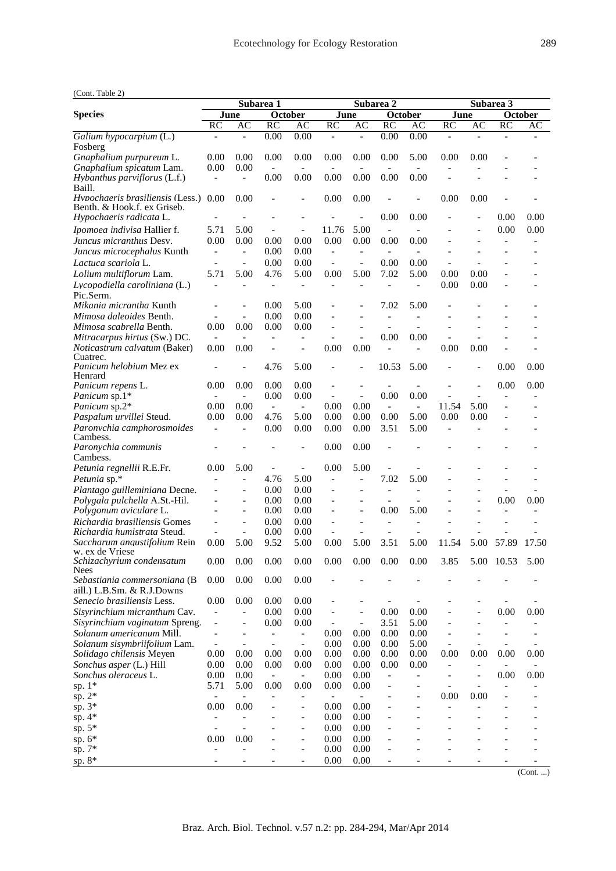| (Cont. Table 2) |  |  |
|-----------------|--|--|
|-----------------|--|--|

|                                                                     |                          |                          | Subarea 1                                            |                                                | Subarea 2                |                              |                              |                          | Subarea 3                |      |                |               |
|---------------------------------------------------------------------|--------------------------|--------------------------|------------------------------------------------------|------------------------------------------------|--------------------------|------------------------------|------------------------------|--------------------------|--------------------------|------|----------------|---------------|
| <b>Species</b>                                                      |                          | June                     | October                                              |                                                |                          | June                         |                              | October                  | June                     |      |                | October       |
|                                                                     | <b>RC</b>                | AC                       | <b>RC</b>                                            | AC                                             | <b>RC</b>                | AC                           | <b>RC</b>                    | AC                       | RC                       | AC   | <b>RC</b>      | AC            |
| Galium hypocarpium (L.)<br>Fosberg                                  | $\overline{a}$           | $\overline{\phantom{a}}$ | 0.00                                                 | 0.00                                           | $\overline{\phantom{0}}$ | $\overline{a}$               | 0.00                         | 0.00                     | $\overline{\phantom{a}}$ |      |                |               |
| Gnaphalium purpureum L.<br>Gnaphalium spicatum Lam.                 | 0.00<br>0.00             | 0.00<br>0.00             | 0.00<br>$\overline{\phantom{a}}$                     | 0.00<br>$\overline{\phantom{a}}$               | 0.00                     | 0.00                         | 0.00                         | 5.00                     | 0.00                     | 0.00 |                |               |
| Hybanthus parviflorus (L.f.)<br>Baill.                              | $\overline{a}$           | $\overline{a}$           | 0.00                                                 | 0.00                                           | 0.00                     | 0.00                         | 0.00                         | 0.00                     |                          |      |                |               |
| Hypochaeris brasiliensis (Less.)<br>Benth. & Hook.f. ex Griseb.     | 0.00                     | 0.00                     |                                                      |                                                | 0.00                     | 0.00                         |                              | $\overline{a}$           | 0.00                     | 0.00 |                |               |
| Hypochaeris radicata L.                                             |                          |                          |                                                      |                                                |                          |                              | 0.00                         | 0.00                     |                          |      | 0.00           | 0.00          |
| Ipomoea indivisa Hallier f.                                         | 5.71                     | 5.00                     | $\overline{\phantom{a}}$                             | $\overline{\phantom{a}}$                       | 11.76                    | 5.00                         | $\overline{\phantom{a}}$     |                          |                          |      | 0.00           | 0.00          |
| Juncus micranthus Desv.                                             | 0.00                     | 0.00                     | 0.00                                                 | 0.00                                           | 0.00                     | 0.00                         | 0.00                         | 0.00                     |                          |      |                |               |
| Juncus microcephalus Kunth                                          | $\overline{\phantom{a}}$ | $\overline{\phantom{a}}$ | 0.00                                                 | 0.00                                           | $\overline{\phantom{a}}$ | $\overline{\phantom{a}}$     | $\overline{\phantom{a}}$     | $\overline{\phantom{a}}$ | $\overline{a}$           | L.   |                |               |
| Lactuca scariola L.                                                 | $\overline{a}$           | $\overline{\phantom{a}}$ | 0.00                                                 | 0.00                                           | $\overline{\phantom{0}}$ | $\overline{a}$               | 0.00                         | 0.00                     | $\overline{a}$           |      |                |               |
| Lolium multiflorum Lam.                                             | 5.71                     | 5.00                     | 4.76                                                 | 5.00                                           | 0.00                     | 5.00                         | 7.02                         | 5.00                     | 0.00                     | 0.00 |                |               |
| Lycopodiella caroliniana (L.)<br>Pic.Serm.                          |                          |                          |                                                      | $\overline{\phantom{a}}$                       |                          | ۰                            | $\overline{\phantom{a}}$     | $\overline{a}$           | 0.00                     | 0.00 |                |               |
| <i>Mikania micrantha</i> Kunth                                      |                          |                          | 0.00                                                 | 5.00                                           |                          |                              | 7.02                         | 5.00                     |                          |      |                |               |
| <i>Mimosa daleoides</i> Benth.                                      |                          | $\blacksquare$           | 0.00                                                 | 0.00                                           |                          |                              | $\qquad \qquad \blacksquare$ | L,                       |                          |      |                |               |
| <i>Mimosa scabrella</i> Benth.                                      | 0.00                     | 0.00                     | 0.00                                                 | 0.00                                           | $\overline{a}$           | $\overline{a}$               | $\overline{a}$               |                          |                          |      |                |               |
| Mitracarpus hirtus (Sw.) DC.                                        | $\overline{\phantom{a}}$ | $\overline{\phantom{a}}$ | $\overline{\phantom{a}}$                             | $\qquad \qquad -$                              |                          | $\overline{\phantom{0}}$     | 0.00                         | 0.00                     | $\overline{a}$           |      |                |               |
| Noticastrum calvatum (Baker)<br>Cuatrec.<br>Panicum helobium Mez ex | 0.00                     | 0.00                     | 4.76                                                 | $\overline{a}$<br>5.00                         | 0.00                     | 0.00                         | 10.53                        | 5.00                     | 0.00                     | 0.00 | 0.00           | 0.00          |
| Henrard                                                             |                          |                          |                                                      |                                                |                          |                              |                              |                          |                          |      |                |               |
| Panicum repens L.                                                   | 0.00                     | 0.00                     | 0.00                                                 | 0.00                                           | $\overline{\phantom{a}}$ |                              |                              |                          |                          |      | 0.00           | 0.00          |
| Panicum sp.1*                                                       |                          | $\overline{\phantom{a}}$ | 0.00                                                 | 0.00                                           | $\overline{\phantom{0}}$ | $\overline{a}$               | 0.00                         | 0.00                     |                          |      |                |               |
| Panicum sp.2*                                                       | 0.00                     | 0.00                     | $\sim$                                               | $\overline{\phantom{a}}$                       | 0.00                     | 0.00                         | $\overline{\phantom{a}}$     | $\blacksquare$           | 11.54                    | 5.00 | $\overline{a}$ |               |
| Paspalum urvillei Steud.                                            | 0.00                     | 0.00                     | 4.76                                                 | 5.00                                           | 0.00                     | 0.00                         | 0.00                         | 5.00                     | 0.00                     | 0.00 |                |               |
| Paronvchia camphorosmoides<br>Cambess.<br>Paronychia communis       | $\overline{\phantom{0}}$ |                          | 0.00                                                 | 0.00                                           | 0.00<br>0.00             | 0.00<br>0.00                 | 3.51                         | 5.00                     |                          |      |                |               |
| Cambess.                                                            |                          |                          |                                                      |                                                |                          |                              |                              |                          |                          |      |                |               |
| Petunia regnellii R.E.Fr.                                           | 0.00                     | 5.00                     | $\qquad \qquad -$                                    | $\overline{\phantom{a}}$                       | 0.00                     | 5.00                         |                              |                          |                          |      |                |               |
| Petunia sp.*                                                        |                          | $\overline{a}$           | 4.76                                                 | 5.00                                           |                          | $\overline{a}$               | 7.02                         | 5.00                     |                          |      |                |               |
| Plantago guilleminiana Decne.                                       |                          |                          | 0.00                                                 | 0.00                                           |                          |                              | $\qquad \qquad \blacksquare$ |                          |                          |      |                |               |
| Polygala pulchella A.St.-Hil.                                       | $\overline{a}$           | $\frac{1}{2}$            | 0.00                                                 | 0.00                                           |                          | $\qquad \qquad -$            | L,                           |                          |                          |      | 0.00           | 0.00          |
| Polygonum aviculare L.                                              |                          | $\overline{\phantom{a}}$ | 0.00                                                 | 0.00                                           |                          | $\overline{\phantom{0}}$     | 0.00                         | 5.00                     |                          |      |                |               |
| Richardia brasiliensis Gomes                                        |                          | $\overline{a}$           | 0.00                                                 | 0.00                                           |                          |                              | $\overline{a}$               |                          |                          |      |                |               |
| <i>Richardia humistrata</i> Steud.                                  | $\overline{\phantom{0}}$ | $\overline{\phantom{a}}$ | 0.00                                                 | 0.00                                           | $\frac{1}{2}$            | $\overline{\phantom{a}}$     | $\overline{a}$               | L,                       |                          |      |                |               |
| Saccharum angustifolium Rein<br>w. ex de Vriese                     | 0.00                     | 5.00                     | 9.52                                                 | 5.00                                           | 0.00<br>0.00             | 5.00                         | 3.51                         | 5.00                     | 11.54<br>3.85            | 5.00 | 57.89          | 17.50<br>5.00 |
| Schizachyrium condensatum<br>Nees                                   | 0.00                     | 0.00                     | 0.00                                                 | 0.00                                           |                          | 0.00                         | 0.00                         | 0.00                     |                          | 5.00 | 10.53          |               |
| Sebastiania commersoniana (B<br>aill.) L.B.Sm. & R.J.Downs          | 0.00                     | 0.00                     | 0.00                                                 | 0.00                                           |                          |                              |                              |                          |                          |      |                |               |
| Senecio brasiliensis Less.                                          | 0.00                     | 0.00                     | 0.00                                                 | 0.00                                           |                          |                              |                              |                          |                          |      |                |               |
| Sisyrinchium micranthum Cav.                                        |                          | $\overline{a}$           | 0.00                                                 | 0.00                                           |                          | $\overline{a}$               | 0.00                         | 0.00                     |                          |      | 0.00           | 0.00          |
| Sisyrinchium vaginatum Spreng.                                      | $\overline{\phantom{0}}$ | $\overline{a}$           | 0.00                                                 | 0.00                                           | $\overline{\phantom{a}}$ | $\qquad \qquad \blacksquare$ | 3.51                         | 5.00                     |                          |      |                |               |
| Solanum americanum Mill.<br>Solanum sisymbriifolium Lam.            | $\frac{1}{2}$            | $\overline{a}$           | $\overline{\phantom{0}}$<br>$\overline{\phantom{a}}$ | $\qquad \qquad \blacksquare$<br>$\blacksquare$ | 0.00<br>0.00             | 0.00<br>0.00                 | 0.00<br>0.00                 | 0.00<br>5.00             | $\overline{a}$           |      |                |               |
| Solidago chilensis Meyen                                            | 0.00                     | 0.00                     | 0.00                                                 | 0.00                                           | 0.00                     | 0.00                         | 0.00                         | 0.00                     | 0.00                     | 0.00 | 0.00           | 0.00          |
| Sonchus asper (L.) Hill                                             | 0.00                     | 0.00                     | 0.00                                                 | 0.00                                           | 0.00                     | 0.00                         | 0.00                         | 0.00                     | $\overline{a}$           |      |                |               |
| Sonchus oleraceus L.                                                | 0.00                     | 0.00                     | $\overline{\phantom{a}}$                             | $\overline{\phantom{a}}$                       | 0.00                     | 0.00                         | $\overline{a}$               | $\overline{\phantom{a}}$ |                          |      | 0.00           | 0.00          |
| sp. 1*                                                              | 5.71                     | 5.00                     | 0.00                                                 | 0.00                                           | 0.00                     | 0.00                         | $\overline{a}$               | $\overline{a}$           |                          |      |                |               |
| sp. 2*                                                              | $\overline{\phantom{0}}$ |                          |                                                      |                                                | $\overline{\phantom{0}}$ |                              |                              | $\overline{a}$           | 0.00                     | 0.00 |                |               |
| sp. 3*                                                              | 0.00                     | 0.00                     |                                                      | $\overline{a}$                                 | 0.00                     | 0.00                         |                              |                          |                          |      |                |               |
| sp. 4*                                                              |                          |                          |                                                      | $\overline{\phantom{a}}$                       | 0.00                     | 0.00                         |                              |                          |                          |      |                |               |
| sp. 5*                                                              | 0.00                     | 0.00                     |                                                      | $\qquad \qquad \blacksquare$                   | 0.00<br>0.00             | 0.00<br>0.00                 |                              |                          |                          |      |                |               |
| sp. 6*<br>sp. 7*                                                    | -                        |                          |                                                      | L,<br>$\qquad \qquad -$                        | 0.00                     | 0.00                         |                              |                          |                          |      |                |               |
| sp. 8*                                                              |                          |                          |                                                      |                                                | 0.00                     | 0.00                         |                              |                          |                          |      |                |               |
|                                                                     |                          |                          |                                                      |                                                |                          |                              |                              |                          |                          |      |                |               |

(Cont. ...)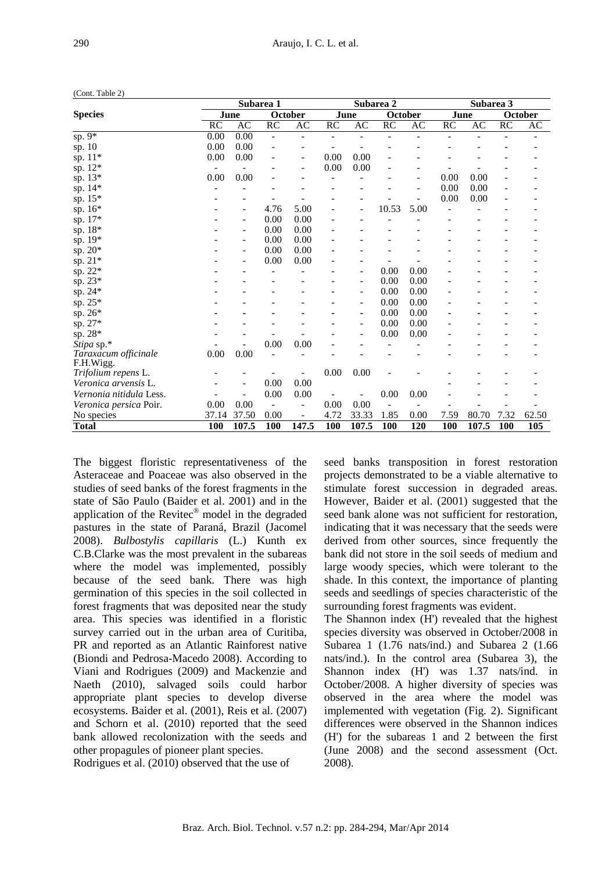|                               | Subarea 1 |                |                          |                          |      | Subarea 2                |         |                        | Subarea 3  |       |                 |         |
|-------------------------------|-----------|----------------|--------------------------|--------------------------|------|--------------------------|---------|------------------------|------------|-------|-----------------|---------|
| <b>Species</b>                | June      |                |                          | October                  |      | June                     | October |                        | June       |       |                 | October |
|                               | <b>RC</b> | AC             | $\overline{RC}$          | AC                       | RC   | AC                       | RC      | $\mathbf{A}\mathbf{C}$ | RC         | AC    | $\overline{RC}$ | AC      |
| sp. $9^*$                     | 0.00      | 0.00           | $\overline{\phantom{a}}$ |                          |      |                          |         |                        |            |       |                 |         |
| sp. 10                        | 0.00      | 0.00           |                          |                          |      |                          |         |                        |            |       |                 |         |
| sp. 11*                       | 0.00      | 0.00           |                          | ۰                        | 0.00 | 0.00                     |         |                        |            |       |                 |         |
| sp. $12*$                     |           |                |                          |                          | 0.00 | 0.00                     |         |                        |            |       |                 |         |
| sp. 13*                       | 0.00      | 0.00           |                          |                          |      |                          |         |                        | 0.00       | 0.00  |                 |         |
| sp. 14*                       |           |                |                          |                          |      |                          |         | ۰                      | 0.00       | 0.00  |                 |         |
| sp. 15*                       |           |                |                          |                          |      |                          |         |                        | 0.00       | 0.00  |                 |         |
| sp. 16*                       |           |                | 4.76                     | 5.00                     |      | -                        | 10.53   | 5.00                   |            |       |                 |         |
| sp. 17*                       |           | -              | 0.00                     | 0.00                     |      |                          |         |                        |            |       |                 |         |
| sp. 18*                       |           | $\overline{a}$ | 0.00                     | 0.00                     |      |                          |         |                        |            |       |                 |         |
| sp. 19*                       |           | -              | 0.00                     | 0.00                     |      |                          |         |                        |            |       |                 |         |
| sp. 20*                       |           | -              | 0.00                     | 0.00                     |      |                          |         |                        |            |       |                 |         |
| sp. 21*                       |           |                | 0.00                     | 0.00                     |      |                          |         |                        |            |       |                 |         |
| sp. $22*$                     |           |                |                          |                          |      | $\overline{\phantom{0}}$ | 0.00    | 0.00                   |            |       |                 |         |
| sp. 23*                       |           |                |                          |                          |      | ۰                        | 0.00    | 0.00                   |            |       |                 |         |
| sp. 24*                       |           |                |                          |                          |      |                          | 0.00    | 0.00                   |            |       |                 |         |
| sp. 25*                       |           |                |                          |                          |      | -                        | 0.00    | 0.00                   |            |       |                 |         |
| sp. 26*                       |           |                |                          |                          |      | $\blacksquare$           | 0.00    | 0.00                   |            |       |                 |         |
| sp. 27*                       |           |                |                          |                          |      |                          | 0.00    | 0.00                   |            |       |                 |         |
| sp. 28*                       |           |                |                          |                          |      |                          | 0.00    | 0.00                   |            |       |                 |         |
| Stipa sp.*                    |           |                | 0.00                     | 0.00                     |      |                          |         |                        |            |       |                 |         |
| Taraxacum officinale          | 0.00      | 0.00           |                          |                          |      |                          |         |                        |            |       |                 |         |
| F.H.Wigg.                     |           |                |                          |                          |      |                          |         |                        |            |       |                 |         |
| Trifolium repens L.           |           |                |                          |                          | 0.00 | 0.00                     |         |                        |            |       |                 |         |
| Veronica arvensis L.          |           | -              | 0.00                     | 0.00                     |      |                          |         |                        |            |       |                 |         |
| Vernonia nitidula Less.       |           |                | 0.00                     | 0.00                     |      |                          | 0.00    | 0.00                   |            |       |                 |         |
| <i>Veronica persica Poir.</i> | 0.00      | 0.00           | $\qquad \qquad -$        | $\overline{a}$           | 0.00 | 0.00                     |         |                        |            |       |                 |         |
| No species                    | 37.14     | 37.50          | 0.00                     | $\overline{\phantom{a}}$ | 4.72 | 33.33                    | 1.85    | 0.00                   | 7.59       | 80.70 | 7.32            | 62.50   |
| Total                         | 100       | 107.5          | <b>100</b>               | 147.5                    | 100  | 107.5                    | 100     | 120                    | <b>100</b> | 107.5 | 100             | 105     |

(Cont. Table 2)

The biggest floristic representativeness of the Asteraceae and Poaceae was also observed in the studies of seed banks of the forest fragments in the state of São Paulo (Baider et al. 2001) and in the application of the Revitec<sup>®</sup> model in the degraded pastures in the state of Paraná, Brazil (Jacomel 2008). *Bulbostylis capillaris* (L.) Kunth ex C.B.Clarke was the most prevalent in the subareas where the model was implemented, possibly because of the seed bank. There was high germination of this species in the soil collected in forest fragments that was deposited near the study area. This species was identified in a floristic survey carried out in the urban area of Curitiba, PR and reported as an Atlantic Rainforest native (Biondi and Pedrosa-Macedo 2008). According to Viani and Rodrigues (2009) and Mackenzie and Naeth (2010), salvaged soils could harbor appropriate plant species to develop diverse ecosystems. Baider et al. (2001), Reis et al. (2007) and Schorn et al. (2010) reported that the seed bank allowed recolonization with the seeds and other propagules of pioneer plant species.

Rodrigues et al. (2010) observed that the use of

seed banks transposition in forest restoration projects demonstrated to be a viable alternative to stimulate forest succession in degraded areas. However, Baider et al. (2001) suggested that the seed bank alone was not sufficient for restoration, indicating that it was necessary that the seeds were derived from other sources, since frequently the bank did not store in the soil seeds of medium and large woody species, which were tolerant to the shade. In this context, the importance of planting seeds and seedlings of species characteristic of the surrounding forest fragments was evident.

The Shannon index (H') revealed that the highest species diversity was observed in October/2008 in Subarea 1 (1.76 nats/ind.) and Subarea 2 (1.66 nats/ind.). In the control area (Subarea 3), the Shannon index (H') was 1.37 nats/ind. in October/2008. A higher diversity of species was observed in the area where the model was implemented with vegetation (Fig. 2). Significant differences were observed in the Shannon indices (H') for the subareas 1 and 2 between the first (June 2008) and the second assessment (Oct. 2008).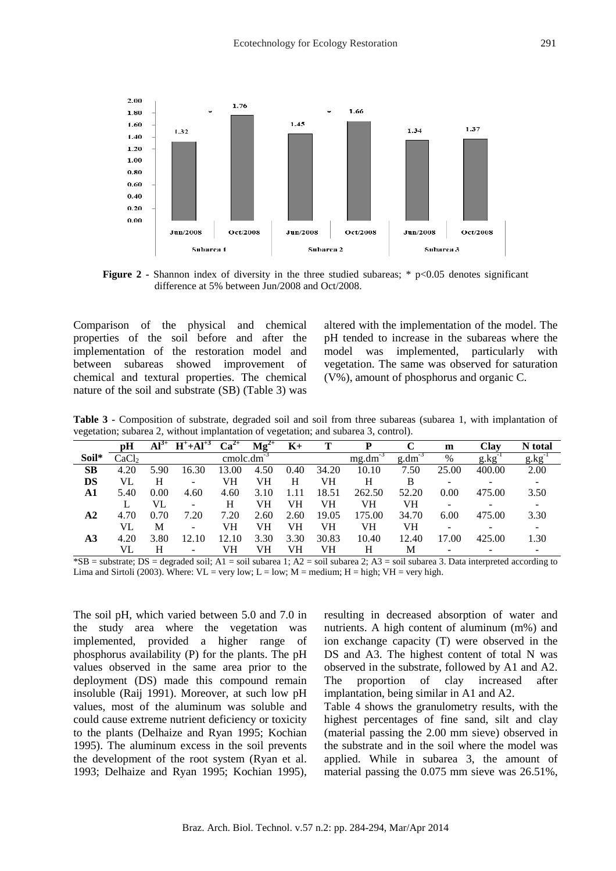

**Figure 2** - Shannon index of diversity in the three studied subareas; \* p<0.05 denotes significant difference at 5% between Jun/2008 and Oct/2008.

Comparison of the physical and chemical properties of the soil before and after the implementation of the restoration model and between subareas showed improvement of chemical and textural properties. The chemical nature of the soil and substrate (SB) (Table 3) was altered with the implementation of the model. The pH tended to increase in the subareas where the model was implemented, particularly with vegetation. The same was observed for saturation (V%), amount of phosphorus and organic C.

**Table 3 -** Composition of substrate, degraded soil and soil from three subareas (subarea 1, with implantation of vegetation; subarea 2, without implantation of vegetation; and subarea 3, control).

|           | рH                | $\overline{\mathbf{Al}}^{3+}$ | $H^+ + Al^{+3}$          | $Ca^{2+}$ | $\text{Mg}^{2+}$ | $K_{\pm}$ |       |        |             | m     | Clay       | N total     |
|-----------|-------------------|-------------------------------|--------------------------|-----------|------------------|-----------|-------|--------|-------------|-------|------------|-------------|
| Soil*     | CaCl <sub>2</sub> |                               |                          | cmolc.dm  |                  |           |       | mg.dm  | $g.dm^{-3}$ | %     | $g$ . $kg$ | $g.kg^{-1}$ |
| <b>SB</b> | 4.20              | 5.90                          | 16.30                    | 13.00     | 4.50             | 0.40      | 34.20 | 10.10  | 7.50        | 25.00 | 400.00     | 2.00        |
| DS        | VL                | H                             | $\overline{\phantom{a}}$ | VH        | VH               | H         | VH    | Н      | B           |       |            | -           |
| A1        | 5.40              | 0.00                          | 4.60                     | 4.60      | 3.10             | 1.11      | 18.51 | 262.50 | 52.20       | 0.00  | 475.00     | 3.50        |
|           |                   | VL                            | $\overline{\phantom{a}}$ | H         | VH               | VH        | VH    | VH     | VH          |       |            |             |
| $\bf{A2}$ | 4.70              | 0.70                          | 7.20                     | 7.20      | 2.60             | 2.60      | 19.05 | 175.00 | 34.70       | 6.00  | 475.00     | 3.30        |
|           | VL                | M                             | $\overline{\phantom{a}}$ | VH        | VH               | VН        | VH    | VH     | VH          |       |            |             |
| A3        | 4.20              | 3.80                          | 12.10                    | 12.10     | 3.30             | 3.30      | 30.83 | 10.40  | 12.40       | 17.00 | 425.00     | 1.30        |
|           | VL                | H                             | $\overline{\phantom{a}}$ | VH        | VH               | VH        | VH    | Н      | М           |       |            |             |

\*SB = substrate; DS = degraded soil; A1 = soil subarea 1; A2 = soil subarea 2; A3 = soil subarea 3. Data interpreted according to Lima and Sirtoli (2003). Where:  $VL = \text{very low}$ ;  $L = \text{low}$ ;  $M = \text{medium}$ ;  $H = \text{high}$ ;  $VH = \text{very high}$ .

The soil pH, which varied between 5.0 and 7.0 in the study area where the vegetation was implemented, provided a higher range of phosphorus availability (P) for the plants. The pH values observed in the same area prior to the deployment (DS) made this compound remain insoluble (Raij 1991). Moreover, at such low pH values, most of the aluminum was soluble and could cause extreme nutrient deficiency or toxicity to the plants (Delhaize and Ryan 1995; Kochian 1995). The aluminum excess in the soil prevents the development of the root system (Ryan et al. 1993; Delhaize and Ryan 1995; Kochian 1995), resulting in decreased absorption of water and nutrients. A high content of aluminum (m%) and ion exchange capacity (T) were observed in the DS and A3. The highest content of total N was observed in the substrate, followed by A1 and A2. The proportion of clay increased after implantation, being similar in A1 and A2. Table 4 shows the granulometry results, with the highest percentages of fine sand, silt and clay (material passing the 2.00 mm sieve) observed in

the substrate and in the soil where the model was applied. While in subarea 3, the amount of material passing the 0.075 mm sieve was 26.51%,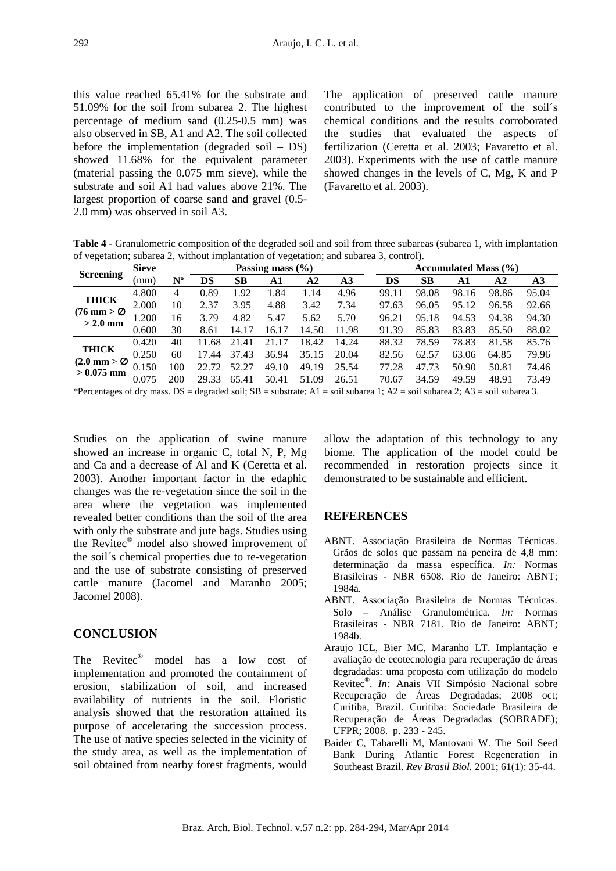this value reached 65.41% for the substrate and 51.09% for the soil from subarea 2. The highest percentage of medium sand (0.25-0.5 mm) was also observed in SB, A1 and A2. The soil collected before the implementation (degraded soil – DS) showed 11.68% for the equivalent parameter (material passing the 0.075 mm sieve), while the substrate and soil A1 had values above 21%. The largest proportion of coarse sand and gravel (0.5- 2.0 mm) was observed in soil A3.

The application of preserved cattle manure contributed to the improvement of the soil´s chemical conditions and the results corroborated the studies that evaluated the aspects of fertilization (Ceretta et al. 2003; Favaretto et al. 2003). Experiments with the use of cattle manure showed changes in the levels of C, Mg, K and P (Favaretto et al. 2003).

**Table 4 -** Granulometric composition of the degraded soil and soil from three subareas (subarea 1, with implantation of vegetation; subarea 2, without implantation of vegetation; and subarea 3, control).

|                                                                                                                                                                                          | <b>Sieve</b> |             |       |       | Passing mass $(\% )$ |       |       |       | Accumulated Mass $(\% )$ |       |       |       |  |  |  |
|------------------------------------------------------------------------------------------------------------------------------------------------------------------------------------------|--------------|-------------|-------|-------|----------------------|-------|-------|-------|--------------------------|-------|-------|-------|--|--|--|
| <b>Screening</b>                                                                                                                                                                         | (mm)         | $N^{\rm o}$ | DS    | SВ    | A1                   | A2    | A3    | DS    | SВ                       | A1    | A2    | A3    |  |  |  |
|                                                                                                                                                                                          | 4.800        | 4           | 0.89  | 1.92  | 1.84                 | 1.14  | 4.96  | 99.11 | 98.08                    | 98.16 | 98.86 | 95.04 |  |  |  |
| <b>THICK</b>                                                                                                                                                                             | 2.000        | 10          | 2.37  | 3.95  | 4.88                 | 3.42  | 7.34  | 97.63 | 96.05                    | 95.12 | 96.58 | 92.66 |  |  |  |
| $(76 \text{ mm} > \varnothing)$<br>$>$ 2.0 mm                                                                                                                                            | 1.200        | 16          | 3.79  | 4.82  | 5.47                 | 5.62  | 5.70  | 96.21 | 95.18                    | 94.53 | 94.38 | 94.30 |  |  |  |
|                                                                                                                                                                                          | 0.600        | 30          | 8.61  | 14.17 | 16.17                | 14.50 | 11.98 | 91.39 | 85.83                    | 83.83 | 85.50 | 88.02 |  |  |  |
|                                                                                                                                                                                          | 0.420        | 40          | 11.68 | 21.41 | .17<br>21            | 18.42 | 14.24 | 88.32 | 78.59                    | 78.83 | 81.58 | 85.76 |  |  |  |
| <b>THICK</b>                                                                                                                                                                             | 0.250        | 60          | 17.44 | 37.43 | 36.94                | 35.15 | 20.04 | 82.56 | 62.57                    | 63.06 | 64.85 | 79.96 |  |  |  |
| $(2.0 \text{ mm} > \varnothing)$<br>$> 0.075$ mm                                                                                                                                         | 0.150        | 100         | 22.72 | 52.27 | 49.10                | 49.19 | 25.54 | 77.28 | 47.73                    | 50.90 | 50.81 | 74.46 |  |  |  |
|                                                                                                                                                                                          | 0.075        | 200         | 29.33 | 65.41 | 50.41                | 51.09 | 26.51 | 70.67 | 34.59                    | 49.59 | 48.91 | 73.49 |  |  |  |
| $*D$ approximate $\alpha$ of during $\alpha$ $D^{\alpha}$ decupided soil: $\alpha D$ = substants: $\Delta 1$ = soil subsecs 1: $\Delta 2$ = soil subsecs 2: $\Delta 2$ = soil subsecs 3: |              |             |       |       |                      |       |       |       |                          |       |       |       |  |  |  |

\*Percentages of dry mass. DS = degraded soil; SB = substrate; A1 = soil subarea 1; A2 = soil subarea 2; A3 = soil subarea 3.

Studies on the application of swine manure showed an increase in organic C, total N, P, Mg and Ca and a decrease of Al and K (Ceretta et al. 2003). Another important factor in the edaphic changes was the re-vegetation since the soil in the area where the vegetation was implemented revealed better conditions than the soil of the area with only the substrate and jute bags. Studies using the Revitec® model also showed improvement of the soil´s chemical properties due to re-vegetation and the use of substrate consisting of preserved cattle manure (Jacomel and Maranho 2005; Jacomel 2008).

# **CONCLUSION**

The Revitec® model has a low cost of implementation and promoted the containment of erosion, stabilization of soil, and increased availability of nutrients in the soil. Floristic analysis showed that the restoration attained its purpose of accelerating the succession process. The use of native species selected in the vicinity of the study area, as well as the implementation of soil obtained from nearby forest fragments, would

allow the adaptation of this technology to any biome. The application of the model could be recommended in restoration projects since it demonstrated to be sustainable and efficient.

# **REFERENCES**

- ABNT. Associação Brasileira de Normas Técnicas. Grãos de solos que passam na peneira de 4,8 mm: determinação da massa específica. *In:* Normas Brasileiras - NBR 6508. Rio de Janeiro: ABNT; 1984a.
- ABNT. Associação Brasileira de Normas Técnicas. Solo – Análise Granulométrica. *In:* Normas Brasileiras - NBR 7181. Rio de Janeiro: ABNT; 1984b.
- Araujo ICL, Bier MC, Maranho LT. Implantação e avaliação de ecotecnologia para recuperação de áreas degradadas: uma proposta com utilização do modelo Revitec® . *In:* Anais VII Simpósio Nacional sobre Recuperação de Áreas Degradadas; 2008 oct; Curitiba, Brazil. Curitiba: Sociedade Brasileira de Recuperação de Áreas Degradadas (SOBRADE); UFPR; 2008. p. 233 - 245.
- Baider C, Tabarelli M, Mantovani W. The Soil Seed Bank During Atlantic Forest Regeneration in Southeast Brazil. *Rev Brasil Biol.* 2001; 61(1): 35-44.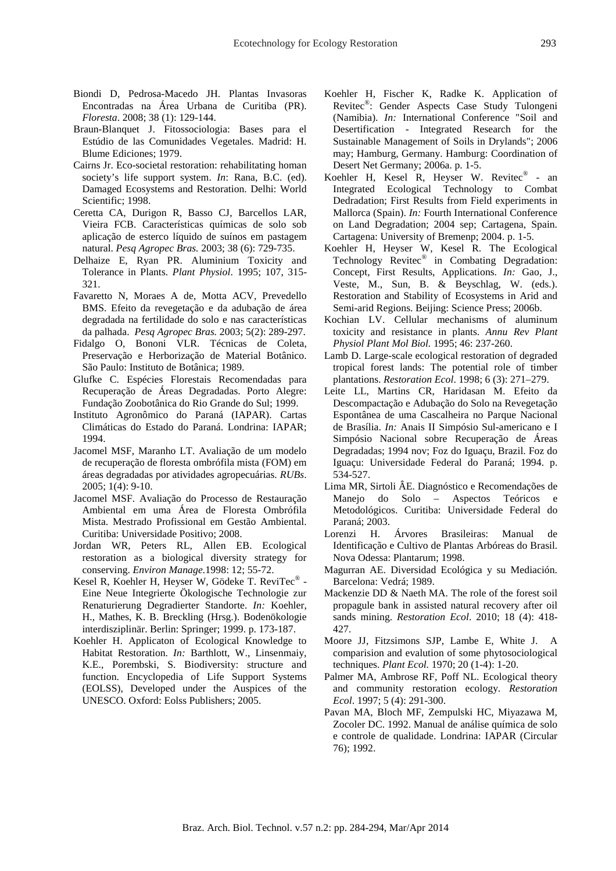- Biondi D, Pedrosa-Macedo JH. Plantas Invasoras Encontradas na Área Urbana de Curitiba (PR). *Floresta*. 2008; 38 (1): 129-144.
- Braun-Blanquet J. Fitossociologia: Bases para el Estúdio de las Comunidades Vegetales. Madrid: H. Blume Ediciones; 1979.
- Cairns Jr. Eco-societal restoration: rehabilitating homan society's life support system. *In*: Rana, B.C. (ed). Damaged Ecosystems and Restoration. Delhi: World Scientific; 1998.
- Ceretta CA, Durigon R, Basso CJ, Barcellos LAR, Vieira FCB. Características químicas de solo sob aplicação de esterco líquido de suínos em pastagem natural. *Pesq Agropec Bras.* 2003; 38 (6): 729-735.
- Delhaize E, Ryan PR. Aluminium Toxicity and Tolerance in Plants. *Plant Physiol*. 1995; 107, 315- 321.
- Favaretto N, Moraes A de, Motta ACV, Prevedello BMS. Efeito da revegetação e da adubação de área degradada na fertilidade do solo e nas características da palhada. *Pesq Agropec Bras.* 2003; 5(2): 289-297.
- Fidalgo O, Bononi VLR. Técnicas de Coleta, Preservação e Herborização de Material Botânico. São Paulo: Instituto de Botânica; 1989.
- Glufke C. Espécies Florestais Recomendadas para Recuperação de Áreas Degradadas. Porto Alegre: Fundação Zoobotânica do Rio Grande do Sul; 1999.
- Instituto Agronômico do Paraná (IAPAR). Cartas Climáticas do Estado do Paraná. Londrina: IAPAR; 1994.
- Jacomel MSF, Maranho LT. Avaliação de um modelo de recuperação de floresta ombrófila mista (FOM) em áreas degradadas por atividades agropecuárias. *RUBs*. 2005; 1(4): 9-10.
- Jacomel MSF. Avaliação do Processo de Restauração Ambiental em uma Área de Floresta Ombrófila Mista. Mestrado Profissional em Gestão Ambiental. Curitiba: Universidade Positivo; 2008.
- Jordan WR, Peters RL, Allen EB. Ecological restoration as a biological diversity strategy for conserving. *Environ Manage.*1998: 12; 55-72.
- Kesel R, Koehler H, Heyser W, Gödeke T. ReviTec® -Eine Neue Integrierte Ökologische Technologie zur Renaturierung Degradierter Standorte. *In:* Koehler, H., Mathes, K. B. Breckling (Hrsg.). Bodenökologie interdisziplinär. Berlin: Springer; 1999. p. 173-187.
- Koehler H. Applicaton of Ecological Knowledge to Habitat Restoration. *In:* Barthlott, W., Linsenmaiy, K.E., Porembski, S. Biodiversity: structure and function. Encyclopedia of Life Support Systems (EOLSS), Developed under the Auspices of the UNESCO. Oxford: Eolss Publishers; 2005.
- Koehler H, Fischer K, Radke K. Application of Revitec® : Gender Aspects Case Study Tulongeni (Namibia). *In:* International Conference "Soil and Desertification - Integrated Research for the Sustainable Management of Soils in Drylands"; 2006 may; Hamburg, Germany. Hamburg: Coordination of Desert Net Germany; 2006a. p. 1-5.
- Koehler H, Kesel R, Heyser W. Revitec® an Integrated Ecological Technology to Combat Dedradation; First Results from Field experiments in Mallorca (Spain). *In:* Fourth International Conference on Land Degradation; 2004 sep; Cartagena, Spain. Cartagena: University of Bremenp; 2004. p. 1-5.
- Koehler H, Heyser W, Kesel R. The Ecological Technology Revitec® in Combating Degradation: Concept, First Results, Applications. *In:* Gao, J., Veste, M., Sun, B. & Beyschlag, W. (eds.). Restoration and Stability of Ecosystems in Arid and Semi-arid Regions. Beijing: Science Press; 2006b.
- Kochian LV. Cellular mechanisms of aluminum toxicity and resistance in plants. *Annu Rev Plant Physiol Plant Mol Biol.* 1995; 46: 237-260.
- Lamb D. Large-scale ecological restoration of degraded tropical forest lands: The potential role of timber plantations. *Restoration Ecol*. 1998; 6 (3): 271–279.
- Leite LL, Martins CR, Haridasan M. Efeito da Descompactação e Adubação do Solo na Revegetação Espontânea de uma Cascalheira no Parque Nacional de Brasília. *In:* Anais II Simpósio Sul-americano e I Simpósio Nacional sobre Recuperação de Áreas Degradadas; 1994 nov; Foz do Iguaçu, Brazil. Foz do Iguaçu: Universidade Federal do Paraná; 1994. p. 534-527.
- Lima MR, Sirtoli ÂE. Diagnóstico e Recomendações de Manejo do Solo – Aspectos Teóricos Metodológicos. Curitiba: Universidade Federal do Paraná; 2003.
- Lorenzi H. Árvores Brasileiras: Manual de Identificação e Cultivo de Plantas Arbóreas do Brasil. Nova Odessa: Plantarum; 1998.
- Magurran AE. Diversidad Ecológica y su Mediación. Barcelona: Vedrá; 1989.
- Mackenzie DD & Naeth MA. The role of the forest soil propagule bank in assisted natural recovery after oil sands mining. *Restoration Ecol*. 2010; 18 (4): 418- 427.
- Moore JJ, Fitzsimons SJP, Lambe E, White J. A comparision and evalution of some phytosociological techniques. *Plant Ecol.* 1970; 20 (1-4): 1-20.
- Palmer MA, Ambrose RF, Poff NL. Ecological theory and community restoration ecology. *Restoration Ecol*. 1997; 5 (4): 291-300.
- Pavan MA, Bloch MF, Zempulski HC, Miyazawa M, Zocoler DC. 1992. Manual de análise química de solo e controle de qualidade. Londrina: IAPAR (Circular 76); 1992.